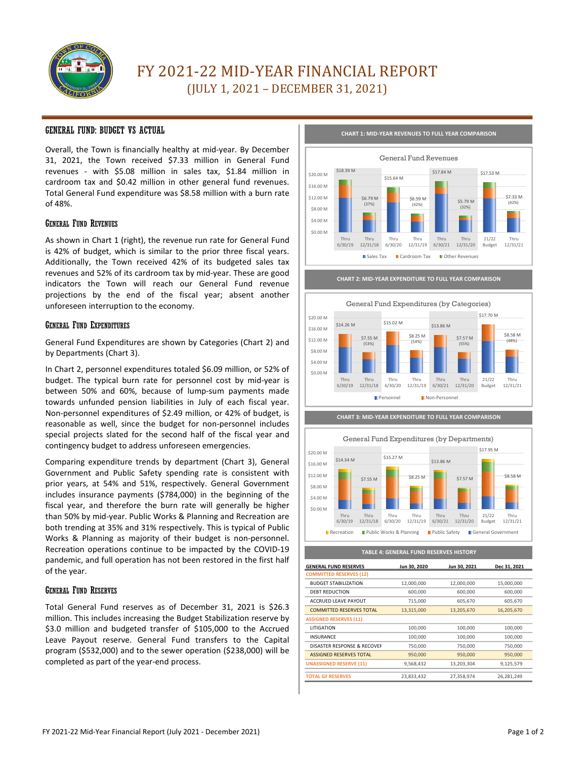

# FY 2021-22 MID-YEAR FINANCIAL REPORT (JULY 1, 2021 – DECEMBER 31, 2021)

### GENERAL FUND: BUDGET VS ACTUAL

**EXERCISE THE SET OF A SET ON A SET ON A SET ON A SET ON A SET ON A SET ON A SET ON A SET ON A SET ON A SET ON A SET ON A SET ON A SET ON A SET ON A SET ON A SET ON A SET ON A SET ON A SET ON A SET ON A SET ON A SET ON A** 

#### GENERAL FUND REVENUES

#### GENERAL FUND EXPENDITURES

receives a d S2% of the second hard by the second will generally be higher and the burn rate will general year, and the higher second the content is the second function of the energy states are speed function of the energ indicators the Town will reach our density in the total year. Content in the December of Changement in the Content of the Breation are the properties are shown by Categories (Chart 2) and<br>
General Fund Expenditures are sh projections is by the end of the first investigation (at a strength and the content in the content of the strend projection of Become Theodores (Chart 2) and 31% respectively. The strength and the content of Chart 2) and Content and Device the Content and Policies are shown by Categories (Chart 2) and<br>
Gramat Two Except is non-personnel. Supplementatives are shown by Categories (Chart 2) and<br>
Under Chart 2, personnel expenditures totaled **Continue to be impact to be impacted by Continue to be impacted by the COVID-19<br>
Brass TWD Dependitures are shown by Categories (Chart 2) and<br>
In Chart 2, personnel expenditures totaled \$6.09 million, or 52% of<br>
bloget. T EXERCIS EXERCIS (THE CONDUCT CONDUCT)**<br>
EXERCISE THE EXERCISE CONTROL CONDUCT AND THE CONDUCT CONDUCT AND THE CONDUCT CONDUCT THE CONDUCT CONDUCT CONDUCT THE CONDUCT CONDUCT CONDUCT THE CONDUCT CONDUCT CONDUCT THE CONDUC General Fund Expenditures are shown by Categories (Chart 2) and<br>
by Departments (Chart 3).<br>
Unchart 2, personnel expenditures totaled \$6.09 million, or 52% of<br>
budget. The typical burn rate for personnel cost by mid-year In Chart 2, personnel expenditures total defined 36.00 million, or 52% of The Lagar as of December 31, 2021 is \$26.3<br>
budget. The typical burn rate for personnel cases of low mid-year is<br>
towards unfurned pension in Six a resonable as well, since the budget for non-personable microlection and budget of the year-end process.<br>
Covernment and Public Safety spending rate is consistent with<br>
Covernment and Public Safety spending rate is consist

# GENERAL FUND RESERVES



CHART 2: MID-YEAR EXPENDITURE TO FULL YEAR COMPARISON







TABLE **4**: GENERAL FUND RESERVES HISTORY

|                                                                                                                                                                                                                                                                        |                                                                                                    |                                                                                                       | <b>CHART 3: MID-YEAR EXPENDITURE TO FULL YEAR COMPARISON</b>                                    |  |  |  |
|------------------------------------------------------------------------------------------------------------------------------------------------------------------------------------------------------------------------------------------------------------------------|----------------------------------------------------------------------------------------------------|-------------------------------------------------------------------------------------------------------|-------------------------------------------------------------------------------------------------|--|--|--|
| \$20.00 M<br>\$14.34 M<br>\$16.00 M<br>\$12.00 M<br>\$7.55 M<br>\$8.00 M<br>\$4.00 M<br>\$0.00 M<br>Thru<br>Thru<br>12/31/18<br>6/30/19<br>Recreation                                                                                                                  | \$8.25 M<br>Thru<br>12/31/19                                                                       | \$13.86 M<br>\$7.57 M<br>Thru<br>Thru<br>6/30/21<br>12/31/20                                          | \$17.95 M<br>\$8.58 M<br>21/22<br>Thru<br>12/31/21<br>Budget<br>General Government              |  |  |  |
| Recreation operations continue to be impacted by the COVID-19<br><b>TABLE 4: GENERAL FUND RESERVES HISTORY</b><br>pandemic, and full operation has not been restored in the first half<br><b>GENERAL FUND RESERVES</b><br>Jun 30, 2020<br>Jun 30, 2021<br>Dec 31, 2021 |                                                                                                    |                                                                                                       |                                                                                                 |  |  |  |
| <b>COMMITTED RESERVES (12)</b>                                                                                                                                                                                                                                         |                                                                                                    |                                                                                                       |                                                                                                 |  |  |  |
| <b>BUDGET STABILIZATION</b>                                                                                                                                                                                                                                            | 12,000,000                                                                                         | 12,000,000                                                                                            | 15,000,000                                                                                      |  |  |  |
| <b>DEBT REDUCTION</b>                                                                                                                                                                                                                                                  | 600,000                                                                                            | 600,000                                                                                               | 600,000                                                                                         |  |  |  |
| ACCRUED LEAVE PAYOUT                                                                                                                                                                                                                                                   | 715,000                                                                                            | 605,670                                                                                               | 605,670                                                                                         |  |  |  |
|                                                                                                                                                                                                                                                                        |                                                                                                    |                                                                                                       | 16,205,670                                                                                      |  |  |  |
|                                                                                                                                                                                                                                                                        |                                                                                                    |                                                                                                       | 100,000                                                                                         |  |  |  |
|                                                                                                                                                                                                                                                                        |                                                                                                    |                                                                                                       | 100,000                                                                                         |  |  |  |
| DISASTER RESPONSE & RECOVEF                                                                                                                                                                                                                                            | 750,000                                                                                            | 750,000                                                                                               | 750,000                                                                                         |  |  |  |
| <b>ASSIGNED RESERVES TOTAL</b>                                                                                                                                                                                                                                         | 950,000                                                                                            | 950,000                                                                                               | 950,000                                                                                         |  |  |  |
| <b>UNASSIGNED RESERVE (11)</b>                                                                                                                                                                                                                                         | 9,568,432                                                                                          | 13,203,304                                                                                            | 9,125,579                                                                                       |  |  |  |
|                                                                                                                                                                                                                                                                        |                                                                                                    | 27,358,974                                                                                            | 26,281,249                                                                                      |  |  |  |
|                                                                                                                                                                                                                                                                        | <b>COMMITTED RESERVES TOTAL</b><br><b>ASSIGNED RESERVES (11)</b><br>LITIGATION<br><b>INSURANCE</b> | \$15.27 M<br>Thru<br>6/30/20<br><b>Il</b> Public Works & Planning<br>13,315,000<br>100,000<br>100,000 | General Fund Expenditures (by Departments)<br>Public Safety<br>13,205,670<br>100,000<br>100,000 |  |  |  |